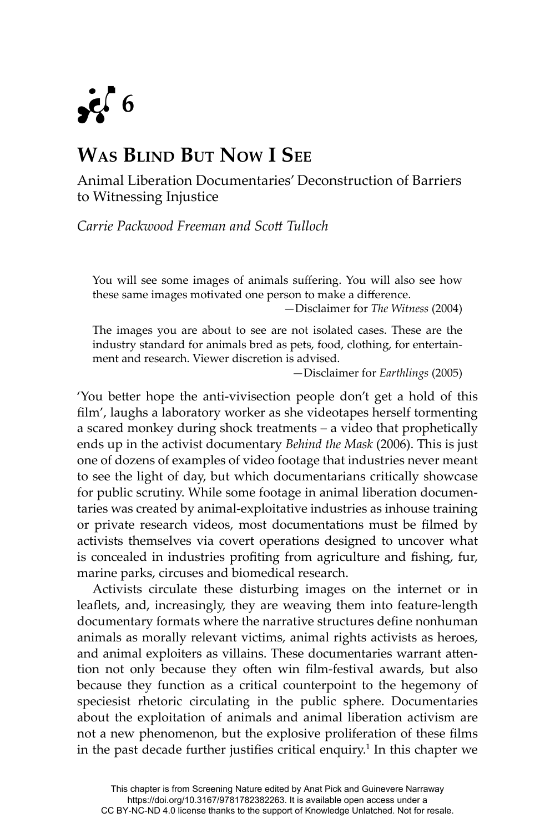

# **Was Blind But Now I See**

Animal Liberation Documentaries' Deconstruction of Barriers to Witnessing Injustice

*Carrie Packwood Freeman and Scott Tulloch*

You will see some images of animals suffering. You will also see how these same images motivated one person to make a difference.

—Disclaimer for *The Witness* (2004)

The images you are about to see are not isolated cases. These are the industry standard for animals bred as pets, food, clothing, for entertainment and research. Viewer discretion is advised.

—Disclaimer for *Earthlings* (2005)

'You better hope the anti-vivisection people don't get a hold of this film', laughs a laboratory worker as she videotapes herself tormenting a scared monkey during shock treatments – a video that prophetically ends up in the activist documentary *Behind the Mask* (2006). This is just one of dozens of examples of video footage that industries never meant to see the light of day, but which documentarians critically showcase for public scrutiny. While some footage in animal liberation documentaries was created by animal-exploitative industries as inhouse training or private research videos, most documentations must be filmed by activists themselves via covert operations designed to uncover what is concealed in industries profiting from agriculture and fishing, fur, marine parks, circuses and biomedical research.

Activists circulate these disturbing images on the internet or in leaflets, and, increasingly, they are weaving them into feature-length documentary formats where the narrative structures define nonhuman animals as morally relevant victims, animal rights activists as heroes, and animal exploiters as villains. These documentaries warrant attention not only because they often win film-festival awards, but also because they function as a critical counterpoint to the hegemony of speciesist rhetoric circulating in the public sphere. Documentaries about the exploitation of animals and animal liberation activism are not a new phenomenon, but the explosive proliferation of these films in the past decade further justifies critical enquiry.<sup>1</sup> In this chapter we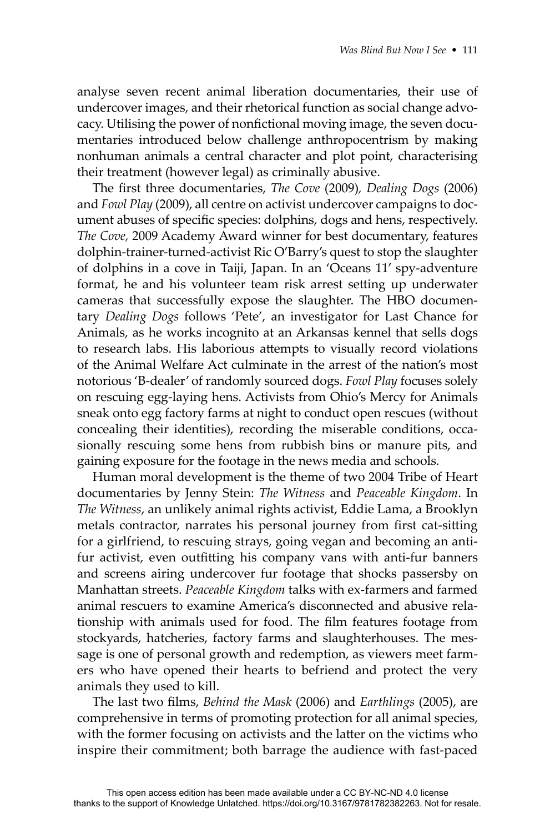analyse seven recent animal liberation documentaries, their use of undercover images, and their rhetorical function as social change advocacy. Utilising the power of nonfictional moving image, the seven documentaries introduced below challenge anthropocentrism by making nonhuman animals a central character and plot point, characterising their treatment (however legal) as criminally abusive.

The first three documentaries, *The Cove* (2009)*, Dealing Dogs* (2006) and *Fowl Play* (2009), all centre on activist undercover campaigns to document abuses of specific species: dolphins, dogs and hens, respectively. *The Cove,* 2009 Academy Award winner for best documentary, features dolphin-trainer-turned-activist Ric O'Barry's quest to stop the slaughter of dolphins in a cove in Taiji, Japan. In an 'Oceans 11' spy-adventure format, he and his volunteer team risk arrest setting up underwater cameras that successfully expose the slaughter. The HBO documentary *Dealing Dogs* follows 'Pete', an investigator for Last Chance for Animals, as he works incognito at an Arkansas kennel that sells dogs to research labs. His laborious attempts to visually record violations of the Animal Welfare Act culminate in the arrest of the nation's most notorious 'B-dealer' of randomly sourced dogs. *Fowl Play* focuses solely on rescuing egg-laying hens. Activists from Ohio's Mercy for Animals sneak onto egg factory farms at night to conduct open rescues (without concealing their identities), recording the miserable conditions, occasionally rescuing some hens from rubbish bins or manure pits, and gaining exposure for the footage in the news media and schools.

Human moral development is the theme of two 2004 Tribe of Heart documentaries by Jenny Stein: *The Witness* and *Peaceable Kingdom*. In *The Witness*, an unlikely animal rights activist, Eddie Lama, a Brooklyn metals contractor, narrates his personal journey from first cat-sitting for a girlfriend, to rescuing strays, going vegan and becoming an antifur activist, even outfitting his company vans with anti-fur banners and screens airing undercover fur footage that shocks passersby on Manhattan streets. *Peaceable Kingdom* talks with ex-farmers and farmed animal rescuers to examine America's disconnected and abusive relationship with animals used for food. The film features footage from stockyards, hatcheries, factory farms and slaughterhouses. The message is one of personal growth and redemption, as viewers meet farmers who have opened their hearts to befriend and protect the very animals they used to kill.

The last two films, *Behind the Mask* (2006) and *Earthlings* (2005), are comprehensive in terms of promoting protection for all animal species, with the former focusing on activists and the latter on the victims who inspire their commitment; both barrage the audience with fast-paced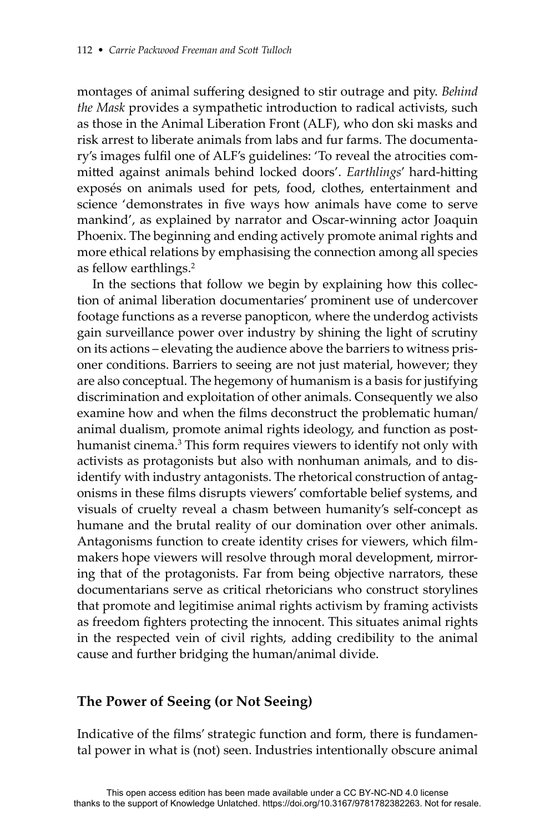montages of animal suffering designed to stir outrage and pity. *Behind the Mask* provides a sympathetic introduction to radical activists, such as those in the Animal Liberation Front (ALF), who don ski masks and risk arrest to liberate animals from labs and fur farms. The documentary's images fulfil one of ALF's guidelines: 'To reveal the atrocities committed against animals behind locked doors'. *Earthlings*' hard-hitting exposés on animals used for pets, food, clothes, entertainment and science 'demonstrates in five ways how animals have come to serve mankind', as explained by narrator and Oscar-winning actor Joaquin Phoenix. The beginning and ending actively promote animal rights and more ethical relations by emphasising the connection among all species as fellow earthlings.<sup>2</sup>

In the sections that follow we begin by explaining how this collection of animal liberation documentaries' prominent use of undercover footage functions as a reverse panopticon*,* where the underdog activists gain surveillance power over industry by shining the light of scrutiny on its actions – elevating the audience above the barriers to witness prisoner conditions. Barriers to seeing are not just material, however; they are also conceptual. The hegemony of humanism is a basis for justifying discrimination and exploitation of other animals. Consequently we also examine how and when the films deconstruct the problematic human/ animal dualism, promote animal rights ideology, and function as posthumanist cinema.<sup>3</sup> This form requires viewers to identify not only with activists as protagonists but also with nonhuman animals, and to disidentify with industry antagonists. The rhetorical construction of antagonisms in these films disrupts viewers' comfortable belief systems, and visuals of cruelty reveal a chasm between humanity's self-concept as humane and the brutal reality of our domination over other animals. Antagonisms function to create identity crises for viewers, which filmmakers hope viewers will resolve through moral development, mirroring that of the protagonists. Far from being objective narrators, these documentarians serve as critical rhetoricians who construct storylines that promote and legitimise animal rights activism by framing activists as freedom fighters protecting the innocent. This situates animal rights in the respected vein of civil rights, adding credibility to the animal cause and further bridging the human/animal divide.

## **The Power of Seeing (or Not Seeing)**

Indicative of the films' strategic function and form, there is fundamental power in what is (not) seen. Industries intentionally obscure animal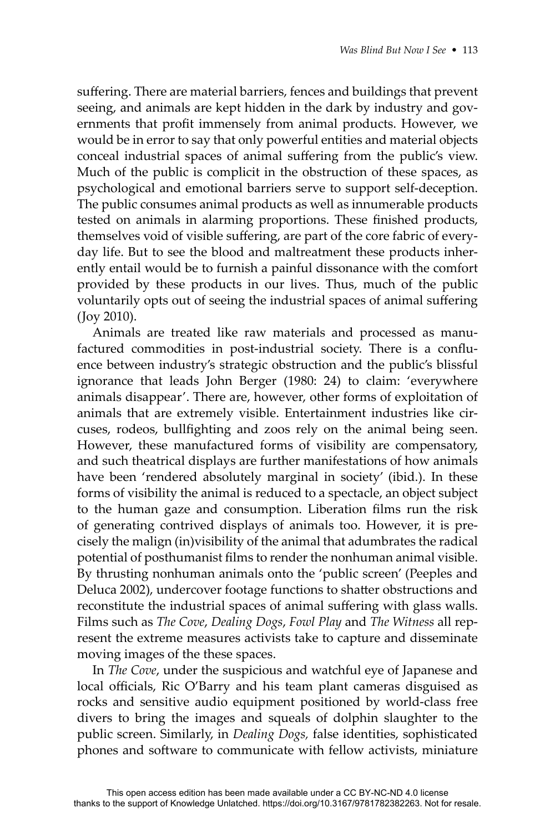suffering. There are material barriers, fences and buildings that prevent seeing, and animals are kept hidden in the dark by industry and governments that profit immensely from animal products. However, we would be in error to say that only powerful entities and material objects conceal industrial spaces of animal suffering from the public's view. Much of the public is complicit in the obstruction of these spaces, as psychological and emotional barriers serve to support self-deception. The public consumes animal products as well as innumerable products tested on animals in alarming proportions. These finished products, themselves void of visible suffering, are part of the core fabric of everyday life. But to see the blood and maltreatment these products inherently entail would be to furnish a painful dissonance with the comfort provided by these products in our lives. Thus, much of the public voluntarily opts out of seeing the industrial spaces of animal suffering (Joy 2010).

Animals are treated like raw materials and processed as manufactured commodities in post-industrial society. There is a confluence between industry's strategic obstruction and the public's blissful ignorance that leads John Berger (1980: 24) to claim: 'everywhere animals disappear'. There are, however, other forms of exploitation of animals that are extremely visible. Entertainment industries like circuses, rodeos, bullfighting and zoos rely on the animal being seen. However, these manufactured forms of visibility are compensatory, and such theatrical displays are further manifestations of how animals have been 'rendered absolutely marginal in society' (ibid.). In these forms of visibility the animal is reduced to a spectacle, an object subject to the human gaze and consumption. Liberation films run the risk of generating contrived displays of animals too. However, it is precisely the malign (in)visibility of the animal that adumbrates the radical potential of posthumanist films to render the nonhuman animal visible. By thrusting nonhuman animals onto the 'public screen' (Peeples and Deluca 2002), undercover footage functions to shatter obstructions and reconstitute the industrial spaces of animal suffering with glass walls. Films such as *The Cove*, *Dealing Dogs*, *Fowl Play* and *The Witness* all represent the extreme measures activists take to capture and disseminate moving images of the these spaces.

In *The Cove*, under the suspicious and watchful eye of Japanese and local officials, Ric O'Barry and his team plant cameras disguised as rocks and sensitive audio equipment positioned by world-class free divers to bring the images and squeals of dolphin slaughter to the public screen. Similarly, in *Dealing Dogs,* false identities, sophisticated phones and software to communicate with fellow activists, miniature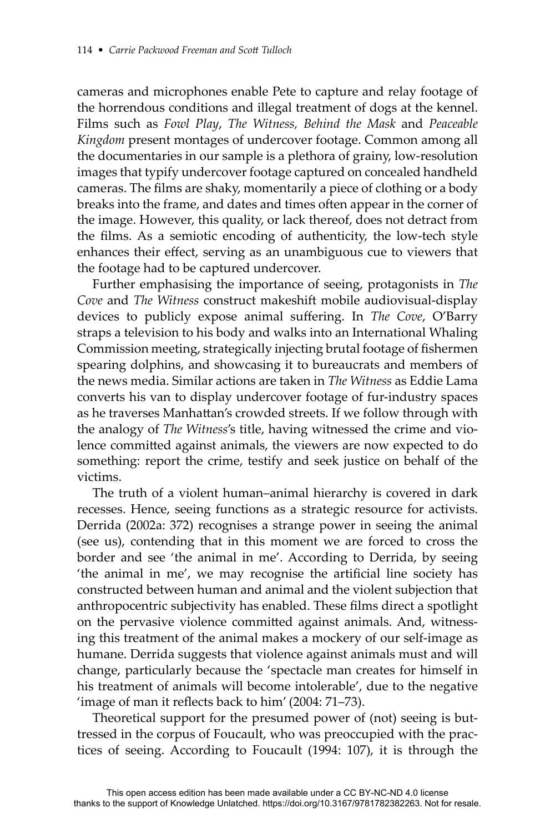cameras and microphones enable Pete to capture and relay footage of the horrendous conditions and illegal treatment of dogs at the kennel. Films such as *Fowl Play*, *The Witness, Behind the Mask* and *Peaceable Kingdom* present montages of undercover footage. Common among all the documentaries in our sample is a plethora of grainy, low-resolution images that typify undercover footage captured on concealed handheld cameras. The films are shaky, momentarily a piece of clothing or a body breaks into the frame, and dates and times often appear in the corner of the image. However, this quality, or lack thereof, does not detract from the films. As a semiotic encoding of authenticity, the low-tech style enhances their effect, serving as an unambiguous cue to viewers that the footage had to be captured undercover.

Further emphasising the importance of seeing, protagonists in *The Cove* and *The Witness* construct makeshift mobile audiovisual-display devices to publicly expose animal suffering. In *The Cove*, O'Barry straps a television to his body and walks into an International Whaling Commission meeting, strategically injecting brutal footage of fishermen spearing dolphins, and showcasing it to bureaucrats and members of the news media. Similar actions are taken in *The Witness* as Eddie Lama converts his van to display undercover footage of fur-industry spaces as he traverses Manhattan's crowded streets. If we follow through with the analogy of *The Witness*'s title, having witnessed the crime and violence committed against animals, the viewers are now expected to do something: report the crime, testify and seek justice on behalf of the victims.

The truth of a violent human–animal hierarchy is covered in dark recesses. Hence, seeing functions as a strategic resource for activists. Derrida (2002a: 372) recognises a strange power in seeing the animal (see us), contending that in this moment we are forced to cross the border and see 'the animal in me'. According to Derrida, by seeing 'the animal in me', we may recognise the artificial line society has constructed between human and animal and the violent subjection that anthropocentric subjectivity has enabled. These films direct a spotlight on the pervasive violence committed against animals. And, witnessing this treatment of the animal makes a mockery of our self-image as humane. Derrida suggests that violence against animals must and will change, particularly because the 'spectacle man creates for himself in his treatment of animals will become intolerable', due to the negative 'image of man it reflects back to him' (2004: 71–73).

Theoretical support for the presumed power of (not) seeing is buttressed in the corpus of Foucault, who was preoccupied with the practices of seeing. According to Foucault (1994: 107), it is through the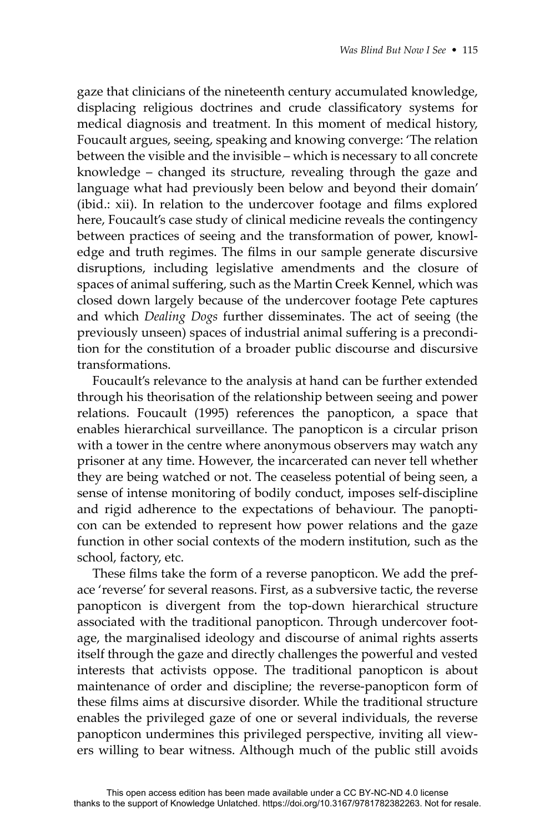gaze that clinicians of the nineteenth century accumulated knowledge, displacing religious doctrines and crude classificatory systems for medical diagnosis and treatment. In this moment of medical history, Foucault argues, seeing, speaking and knowing converge: 'The relation between the visible and the invisible – which is necessary to all concrete knowledge – changed its structure, revealing through the gaze and language what had previously been below and beyond their domain' (ibid.: xii). In relation to the undercover footage and films explored here, Foucault's case study of clinical medicine reveals the contingency between practices of seeing and the transformation of power, knowledge and truth regimes. The films in our sample generate discursive disruptions, including legislative amendments and the closure of spaces of animal suffering, such as the Martin Creek Kennel, which was closed down largely because of the undercover footage Pete captures and which *Dealing Dogs* further disseminates. The act of seeing (the previously unseen) spaces of industrial animal suffering is a precondition for the constitution of a broader public discourse and discursive transformations.

Foucault's relevance to the analysis at hand can be further extended through his theorisation of the relationship between seeing and power relations. Foucault (1995) references the panopticon, a space that enables hierarchical surveillance. The panopticon is a circular prison with a tower in the centre where anonymous observers may watch any prisoner at any time. However, the incarcerated can never tell whether they are being watched or not. The ceaseless potential of being seen, a sense of intense monitoring of bodily conduct, imposes self-discipline and rigid adherence to the expectations of behaviour. The panopticon can be extended to represent how power relations and the gaze function in other social contexts of the modern institution, such as the school, factory, etc.

These films take the form of a reverse panopticon. We add the preface 'reverse' for several reasons. First, as a subversive tactic, the reverse panopticon is divergent from the top-down hierarchical structure associated with the traditional panopticon. Through undercover footage, the marginalised ideology and discourse of animal rights asserts itself through the gaze and directly challenges the powerful and vested interests that activists oppose. The traditional panopticon is about maintenance of order and discipline; the reverse-panopticon form of these films aims at discursive disorder. While the traditional structure enables the privileged gaze of one or several individuals, the reverse panopticon undermines this privileged perspective, inviting all viewers willing to bear witness. Although much of the public still avoids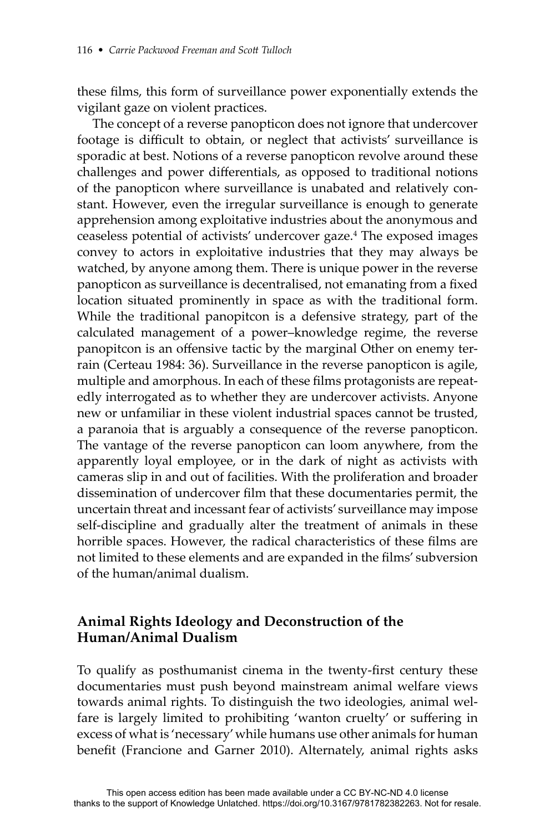these films, this form of surveillance power exponentially extends the vigilant gaze on violent practices.

The concept of a reverse panopticon does not ignore that undercover footage is difficult to obtain, or neglect that activists' surveillance is sporadic at best. Notions of a reverse panopticon revolve around these challenges and power differentials, as opposed to traditional notions of the panopticon where surveillance is unabated and relatively constant. However, even the irregular surveillance is enough to generate apprehension among exploitative industries about the anonymous and ceaseless potential of activists' undercover gaze.<sup>4</sup> The exposed images convey to actors in exploitative industries that they may always be watched, by anyone among them. There is unique power in the reverse panopticon as surveillance is decentralised, not emanating from a fixed location situated prominently in space as with the traditional form. While the traditional panopitcon is a defensive strategy, part of the calculated management of a power–knowledge regime, the reverse panopitcon is an offensive tactic by the marginal Other on enemy terrain (Certeau 1984: 36). Surveillance in the reverse panopticon is agile, multiple and amorphous. In each of these films protagonists are repeatedly interrogated as to whether they are undercover activists. Anyone new or unfamiliar in these violent industrial spaces cannot be trusted, a paranoia that is arguably a consequence of the reverse panopticon. The vantage of the reverse panopticon can loom anywhere, from the apparently loyal employee, or in the dark of night as activists with cameras slip in and out of facilities. With the proliferation and broader dissemination of undercover film that these documentaries permit, the uncertain threat and incessant fear of activists' surveillance may impose self-discipline and gradually alter the treatment of animals in these horrible spaces. However, the radical characteristics of these films are not limited to these elements and are expanded in the films' subversion of the human/animal dualism.

## **Animal Rights Ideology and Deconstruction of the Human/Animal Dualism**

To qualify as posthumanist cinema in the twenty-first century these documentaries must push beyond mainstream animal welfare views towards animal rights. To distinguish the two ideologies, animal welfare is largely limited to prohibiting 'wanton cruelty' or suffering in excess of what is 'necessary' while humans use other animals for human benefit (Francione and Garner 2010). Alternately, animal rights asks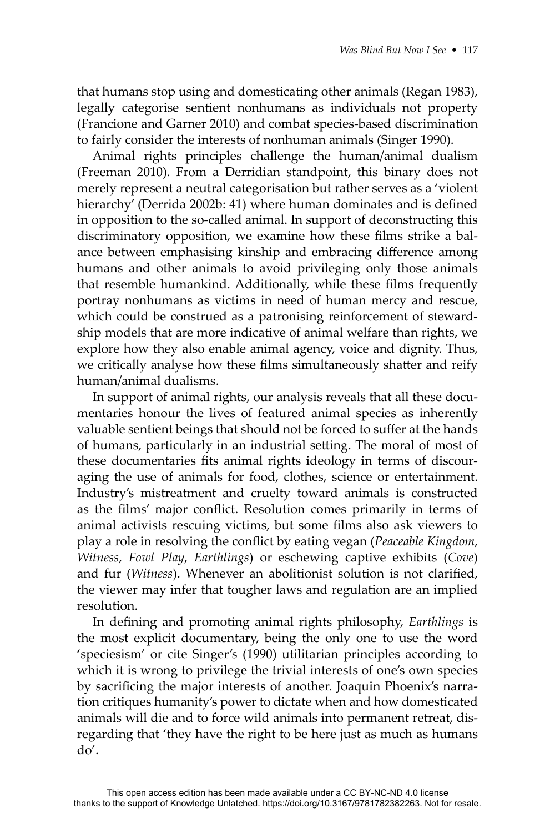that humans stop using and domesticating other animals (Regan 1983), legally categorise sentient nonhumans as individuals not property (Francione and Garner 2010) and combat species-based discrimination to fairly consider the interests of nonhuman animals (Singer 1990).

Animal rights principles challenge the human/animal dualism (Freeman 2010). From a Derridian standpoint, this binary does not merely represent a neutral categorisation but rather serves as a 'violent hierarchy' (Derrida 2002b: 41) where human dominates and is defined in opposition to the so-called animal. In support of deconstructing this discriminatory opposition, we examine how these films strike a balance between emphasising kinship and embracing difference among humans and other animals to avoid privileging only those animals that resemble humankind. Additionally, while these films frequently portray nonhumans as victims in need of human mercy and rescue, which could be construed as a patronising reinforcement of stewardship models that are more indicative of animal welfare than rights, we explore how they also enable animal agency, voice and dignity. Thus, we critically analyse how these films simultaneously shatter and reify human/animal dualisms.

In support of animal rights, our analysis reveals that all these documentaries honour the lives of featured animal species as inherently valuable sentient beings that should not be forced to suffer at the hands of humans, particularly in an industrial setting. The moral of most of these documentaries fits animal rights ideology in terms of discouraging the use of animals for food, clothes, science or entertainment. Industry's mistreatment and cruelty toward animals is constructed as the films' major conflict. Resolution comes primarily in terms of animal activists rescuing victims, but some films also ask viewers to play a role in resolving the conflict by eating vegan (*Peaceable Kingdom*, *Witness*, *Fowl Play*, *Earthlings*) or eschewing captive exhibits (*Cove*) and fur (*Witness*). Whenever an abolitionist solution is not clarified, the viewer may infer that tougher laws and regulation are an implied resolution.

In defining and promoting animal rights philosophy, *Earthlings* is the most explicit documentary, being the only one to use the word 'speciesism' or cite Singer's (1990) utilitarian principles according to which it is wrong to privilege the trivial interests of one's own species by sacrificing the major interests of another. Joaquin Phoenix's narration critiques humanity's power to dictate when and how domesticated animals will die and to force wild animals into permanent retreat, disregarding that 'they have the right to be here just as much as humans do'.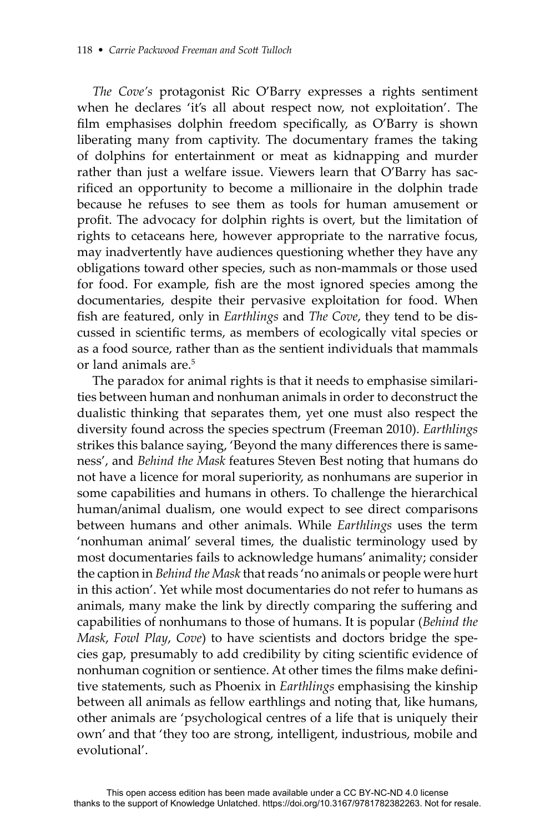*The Cove's* protagonist Ric O'Barry expresses a rights sentiment when he declares 'it's all about respect now, not exploitation'. The film emphasises dolphin freedom specifically, as O'Barry is shown liberating many from captivity. The documentary frames the taking of dolphins for entertainment or meat as kidnapping and murder rather than just a welfare issue. Viewers learn that O'Barry has sacrificed an opportunity to become a millionaire in the dolphin trade because he refuses to see them as tools for human amusement or profit. The advocacy for dolphin rights is overt, but the limitation of rights to cetaceans here, however appropriate to the narrative focus, may inadvertently have audiences questioning whether they have any obligations toward other species, such as non-mammals or those used for food. For example, fish are the most ignored species among the documentaries, despite their pervasive exploitation for food. When fish are featured, only in *Earthlings* and *The Cove*, they tend to be discussed in scientific terms, as members of ecologically vital species or as a food source, rather than as the sentient individuals that mammals or land animals are.<sup>5</sup>

The paradox for animal rights is that it needs to emphasise similarities between human and nonhuman animals in order to deconstruct the dualistic thinking that separates them, yet one must also respect the diversity found across the species spectrum (Freeman 2010). *Earthlings* strikes this balance saying, 'Beyond the many differences there is sameness', and *Behind the Mask* features Steven Best noting that humans do not have a licence for moral superiority, as nonhumans are superior in some capabilities and humans in others. To challenge the hierarchical human/animal dualism, one would expect to see direct comparisons between humans and other animals. While *Earthlings* uses the term 'nonhuman animal' several times, the dualistic terminology used by most documentaries fails to acknowledge humans' animality; consider the caption in *Behind the Mask* that reads 'no animals or people were hurt in this action'. Yet while most documentaries do not refer to humans as animals, many make the link by directly comparing the suffering and capabilities of nonhumans to those of humans. It is popular (*Behind the Mask*, *Fowl Play*, *Cove*) to have scientists and doctors bridge the species gap, presumably to add credibility by citing scientific evidence of nonhuman cognition or sentience. At other times the films make definitive statements, such as Phoenix in *Earthlings* emphasising the kinship between all animals as fellow earthlings and noting that, like humans, other animals are 'psychological centres of a life that is uniquely their own' and that 'they too are strong, intelligent, industrious, mobile and evolutional'.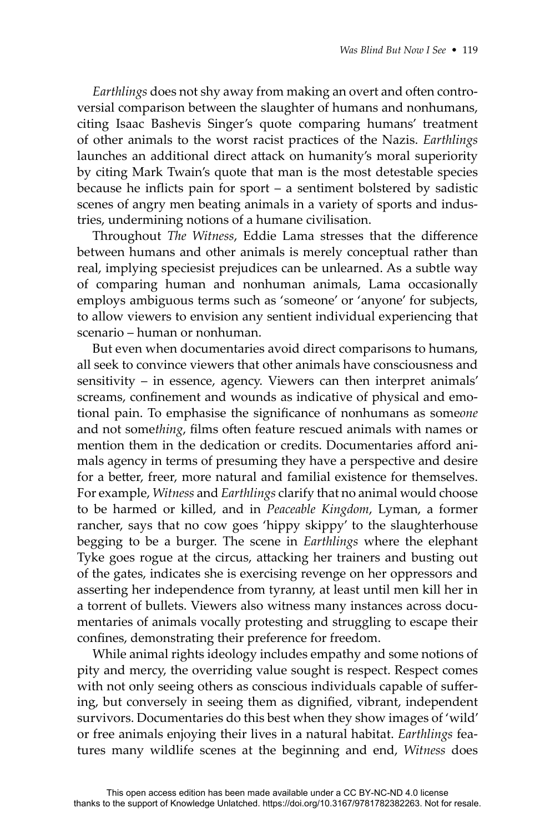*Earthlings* does not shy away from making an overt and often controversial comparison between the slaughter of humans and nonhumans, citing Isaac Bashevis Singer's quote comparing humans' treatment of other animals to the worst racist practices of the Nazis. *Earthlings* launches an additional direct attack on humanity's moral superiority by citing Mark Twain's quote that man is the most detestable species because he inflicts pain for sport – a sentiment bolstered by sadistic scenes of angry men beating animals in a variety of sports and industries, undermining notions of a humane civilisation.

Throughout *The Witness*, Eddie Lama stresses that the difference between humans and other animals is merely conceptual rather than real, implying speciesist prejudices can be unlearned. As a subtle way of comparing human and nonhuman animals, Lama occasionally employs ambiguous terms such as 'someone' or 'anyone' for subjects, to allow viewers to envision any sentient individual experiencing that scenario – human or nonhuman.

But even when documentaries avoid direct comparisons to humans, all seek to convince viewers that other animals have consciousness and sensitivity – in essence, agency. Viewers can then interpret animals' screams, confinement and wounds as indicative of physical and emotional pain. To emphasise the significance of nonhumans as some*one* and not some*thing*, films often feature rescued animals with names or mention them in the dedication or credits. Documentaries afford animals agency in terms of presuming they have a perspective and desire for a better, freer, more natural and familial existence for themselves. For example, *Witness* and *Earthlings* clarify that no animal would choose to be harmed or killed, and in *Peaceable Kingdom*, Lyman, a former rancher, says that no cow goes 'hippy skippy' to the slaughterhouse begging to be a burger. The scene in *Earthlings* where the elephant Tyke goes rogue at the circus, attacking her trainers and busting out of the gates, indicates she is exercising revenge on her oppressors and asserting her independence from tyranny, at least until men kill her in a torrent of bullets. Viewers also witness many instances across documentaries of animals vocally protesting and struggling to escape their confines, demonstrating their preference for freedom.

While animal rights ideology includes empathy and some notions of pity and mercy, the overriding value sought is respect. Respect comes with not only seeing others as conscious individuals capable of suffering, but conversely in seeing them as dignified, vibrant, independent survivors. Documentaries do this best when they show images of 'wild' or free animals enjoying their lives in a natural habitat. *Earthlings* features many wildlife scenes at the beginning and end, *Witness* does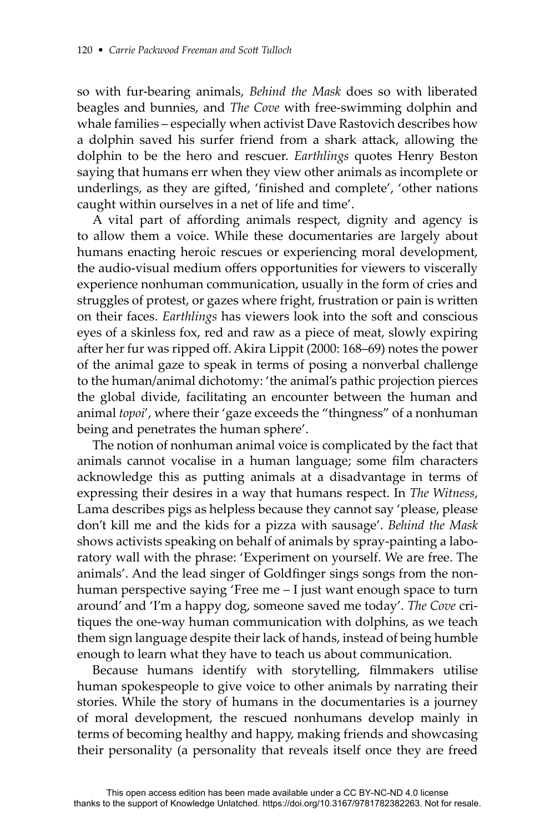so with fur-bearing animals, *Behind the Mask* does so with liberated beagles and bunnies, and *The Cove* with free-swimming dolphin and whale families – especially when activist Dave Rastovich describes how a dolphin saved his surfer friend from a shark attack, allowing the dolphin to be the hero and rescuer. *Earthlings* quotes Henry Beston saying that humans err when they view other animals as incomplete or underlings, as they are gifted, 'finished and complete', 'other nations caught within ourselves in a net of life and time'.

A vital part of affording animals respect, dignity and agency is to allow them a voice. While these documentaries are largely about humans enacting heroic rescues or experiencing moral development, the audio-visual medium offers opportunities for viewers to viscerally experience nonhuman communication, usually in the form of cries and struggles of protest, or gazes where fright, frustration or pain is written on their faces. *Earthlings* has viewers look into the soft and conscious eyes of a skinless fox, red and raw as a piece of meat, slowly expiring after her fur was ripped off. Akira Lippit (2000: 168–69) notes the power of the animal gaze to speak in terms of posing a nonverbal challenge to the human/animal dichotomy: 'the animal's pathic projection pierces the global divide, facilitating an encounter between the human and animal *topoi*', where their 'gaze exceeds the "thingness" of a nonhuman being and penetrates the human sphere'.

The notion of nonhuman animal voice is complicated by the fact that animals cannot vocalise in a human language; some film characters acknowledge this as putting animals at a disadvantage in terms of expressing their desires in a way that humans respect. In *The Witness*, Lama describes pigs as helpless because they cannot say 'please, please don't kill me and the kids for a pizza with sausage'. *Behind the Mask* shows activists speaking on behalf of animals by spray-painting a laboratory wall with the phrase: 'Experiment on yourself. We are free. The animals'. And the lead singer of Goldfinger sings songs from the nonhuman perspective saying 'Free me – I just want enough space to turn around' and 'I'm a happy dog, someone saved me today'. *The Cove* critiques the one-way human communication with dolphins, as we teach them sign language despite their lack of hands, instead of being humble enough to learn what they have to teach us about communication.

Because humans identify with storytelling, filmmakers utilise human spokespeople to give voice to other animals by narrating their stories. While the story of humans in the documentaries is a journey of moral development, the rescued nonhumans develop mainly in terms of becoming healthy and happy, making friends and showcasing their personality (a personality that reveals itself once they are freed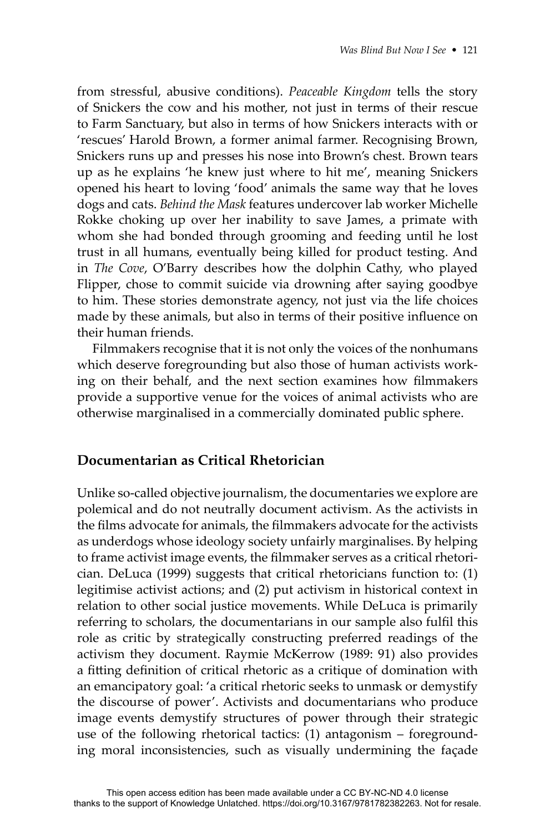from stressful, abusive conditions). *Peaceable Kingdom* tells the story of Snickers the cow and his mother, not just in terms of their rescue to Farm Sanctuary, but also in terms of how Snickers interacts with or 'rescues' Harold Brown, a former animal farmer. Recognising Brown, Snickers runs up and presses his nose into Brown's chest. Brown tears up as he explains 'he knew just where to hit me', meaning Snickers opened his heart to loving 'food' animals the same way that he loves dogs and cats. *Behind the Mask* features undercover lab worker Michelle Rokke choking up over her inability to save James, a primate with whom she had bonded through grooming and feeding until he lost trust in all humans, eventually being killed for product testing. And in *The Cove*, O'Barry describes how the dolphin Cathy, who played Flipper, chose to commit suicide via drowning after saying goodbye to him. These stories demonstrate agency, not just via the life choices made by these animals, but also in terms of their positive influence on their human friends.

Filmmakers recognise that it is not only the voices of the nonhumans which deserve foregrounding but also those of human activists working on their behalf, and the next section examines how filmmakers provide a supportive venue for the voices of animal activists who are otherwise marginalised in a commercially dominated public sphere.

## **Documentarian as Critical Rhetorician**

Unlike so-called objective journalism, the documentaries we explore are polemical and do not neutrally document activism. As the activists in the films advocate for animals, the filmmakers advocate for the activists as underdogs whose ideology society unfairly marginalises. By helping to frame activist image events, the filmmaker serves as a critical rhetorician. DeLuca (1999) suggests that critical rhetoricians function to: (1) legitimise activist actions; and (2) put activism in historical context in relation to other social justice movements. While DeLuca is primarily referring to scholars, the documentarians in our sample also fulfil this role as critic by strategically constructing preferred readings of the activism they document. Raymie McKerrow (1989: 91) also provides a fitting definition of critical rhetoric as a critique of domination with an emancipatory goal: 'a critical rhetoric seeks to unmask or demystify the discourse of power'. Activists and documentarians who produce image events demystify structures of power through their strategic use of the following rhetorical tactics: (1) antagonism – foregrounding moral inconsistencies, such as visually undermining the façade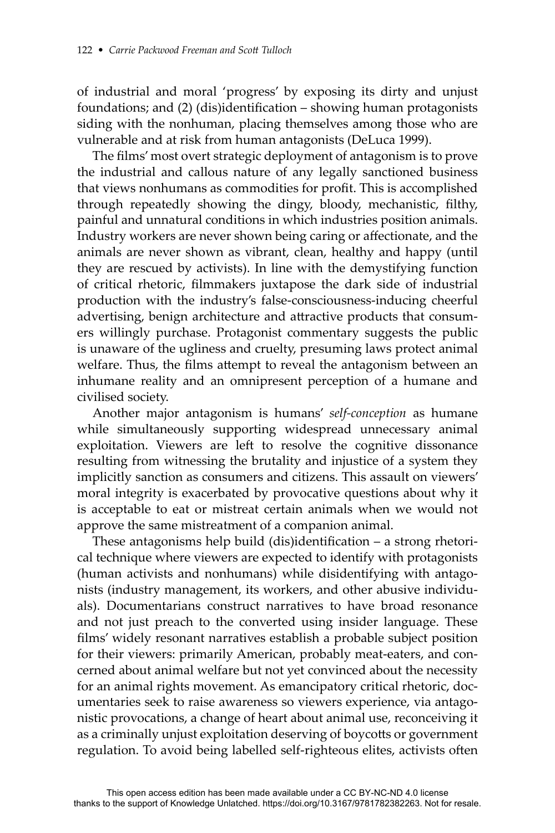of industrial and moral 'progress' by exposing its dirty and unjust foundations; and (2) (dis)identification – showing human protagonists siding with the nonhuman, placing themselves among those who are vulnerable and at risk from human antagonists (DeLuca 1999).

The films' most overt strategic deployment of antagonism is to prove the industrial and callous nature of any legally sanctioned business that views nonhumans as commodities for profit. This is accomplished through repeatedly showing the dingy, bloody, mechanistic, filthy, painful and unnatural conditions in which industries position animals. Industry workers are never shown being caring or affectionate, and the animals are never shown as vibrant, clean, healthy and happy (until they are rescued by activists). In line with the demystifying function of critical rhetoric, filmmakers juxtapose the dark side of industrial production with the industry's false-consciousness-inducing cheerful advertising, benign architecture and attractive products that consumers willingly purchase. Protagonist commentary suggests the public is unaware of the ugliness and cruelty, presuming laws protect animal welfare. Thus, the films attempt to reveal the antagonism between an inhumane reality and an omnipresent perception of a humane and civilised society.

Another major antagonism is humans' *self-conception* as humane while simultaneously supporting widespread unnecessary animal exploitation. Viewers are left to resolve the cognitive dissonance resulting from witnessing the brutality and injustice of a system they implicitly sanction as consumers and citizens. This assault on viewers' moral integrity is exacerbated by provocative questions about why it is acceptable to eat or mistreat certain animals when we would not approve the same mistreatment of a companion animal.

These antagonisms help build (dis)identification – a strong rhetorical technique where viewers are expected to identify with protagonists (human activists and nonhumans) while disidentifying with antagonists (industry management, its workers, and other abusive individuals). Documentarians construct narratives to have broad resonance and not just preach to the converted using insider language. These films' widely resonant narratives establish a probable subject position for their viewers: primarily American, probably meat-eaters, and concerned about animal welfare but not yet convinced about the necessity for an animal rights movement. As emancipatory critical rhetoric, documentaries seek to raise awareness so viewers experience, via antagonistic provocations, a change of heart about animal use, reconceiving it as a criminally unjust exploitation deserving of boycotts or government regulation. To avoid being labelled self-righteous elites, activists often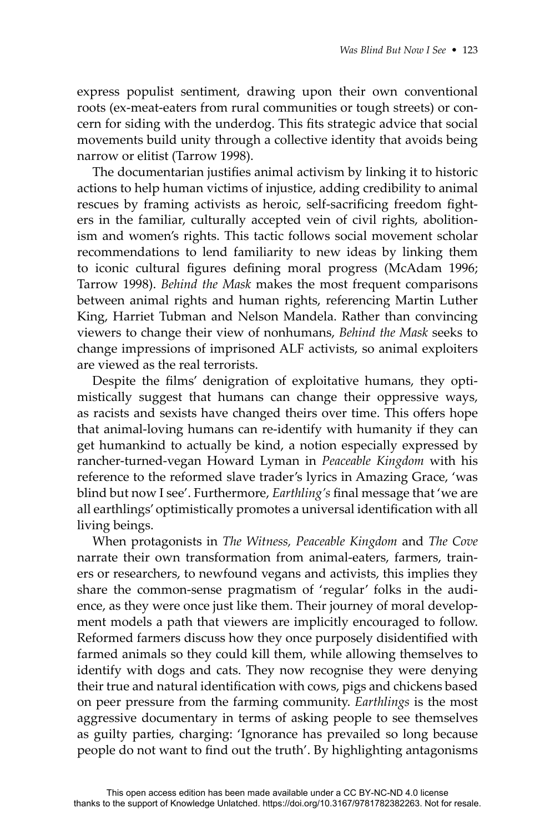express populist sentiment, drawing upon their own conventional roots (ex-meat-eaters from rural communities or tough streets) or concern for siding with the underdog. This fits strategic advice that social movements build unity through a collective identity that avoids being narrow or elitist (Tarrow 1998).

The documentarian justifies animal activism by linking it to historic actions to help human victims of injustice, adding credibility to animal rescues by framing activists as heroic, self-sacrificing freedom fighters in the familiar, culturally accepted vein of civil rights, abolitionism and women's rights. This tactic follows social movement scholar recommendations to lend familiarity to new ideas by linking them to iconic cultural figures defining moral progress (McAdam 1996; Tarrow 1998). *Behind the Mask* makes the most frequent comparisons between animal rights and human rights, referencing Martin Luther King, Harriet Tubman and Nelson Mandela. Rather than convincing viewers to change their view of nonhumans, *Behind the Mask* seeks to change impressions of imprisoned ALF activists, so animal exploiters are viewed as the real terrorists.

Despite the films' denigration of exploitative humans, they optimistically suggest that humans can change their oppressive ways, as racists and sexists have changed theirs over time. This offers hope that animal-loving humans can re-identify with humanity if they can get humankind to actually be kind, a notion especially expressed by rancher-turned-vegan Howard Lyman in *Peaceable Kingdom* with his reference to the reformed slave trader's lyrics in Amazing Grace, 'was blind but now I see'. Furthermore, *Earthling's* final message that 'we are all earthlings' optimistically promotes a universal identification with all living beings.

When protagonists in *The Witness, Peaceable Kingdom* and *The Cove* narrate their own transformation from animal-eaters, farmers, trainers or researchers, to newfound vegans and activists, this implies they share the common-sense pragmatism of 'regular' folks in the audience, as they were once just like them. Their journey of moral development models a path that viewers are implicitly encouraged to follow. Reformed farmers discuss how they once purposely disidentified with farmed animals so they could kill them, while allowing themselves to identify with dogs and cats. They now recognise they were denying their true and natural identification with cows, pigs and chickens based on peer pressure from the farming community. *Earthlings* is the most aggressive documentary in terms of asking people to see themselves as guilty parties, charging: 'Ignorance has prevailed so long because people do not want to find out the truth'. By highlighting antagonisms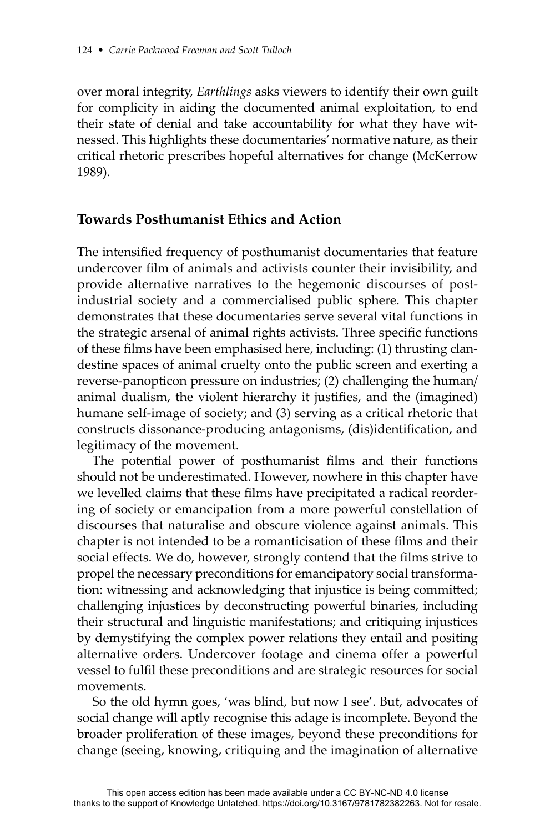over moral integrity, *Earthlings* asks viewers to identify their own guilt for complicity in aiding the documented animal exploitation, to end their state of denial and take accountability for what they have witnessed. This highlights these documentaries' normative nature, as their critical rhetoric prescribes hopeful alternatives for change (McKerrow 1989).

#### **Towards Posthumanist Ethics and Action**

The intensified frequency of posthumanist documentaries that feature undercover film of animals and activists counter their invisibility, and provide alternative narratives to the hegemonic discourses of postindustrial society and a commercialised public sphere. This chapter demonstrates that these documentaries serve several vital functions in the strategic arsenal of animal rights activists. Three specific functions of these films have been emphasised here, including: (1) thrusting clandestine spaces of animal cruelty onto the public screen and exerting a reverse-panopticon pressure on industries; (2) challenging the human/ animal dualism, the violent hierarchy it justifies, and the (imagined) humane self-image of society; and (3) serving as a critical rhetoric that constructs dissonance-producing antagonisms, (dis)identification, and legitimacy of the movement.

The potential power of posthumanist films and their functions should not be underestimated. However, nowhere in this chapter have we levelled claims that these films have precipitated a radical reordering of society or emancipation from a more powerful constellation of discourses that naturalise and obscure violence against animals. This chapter is not intended to be a romanticisation of these films and their social effects. We do, however, strongly contend that the films strive to propel the necessary preconditions for emancipatory social transformation: witnessing and acknowledging that injustice is being committed; challenging injustices by deconstructing powerful binaries, including their structural and linguistic manifestations; and critiquing injustices by demystifying the complex power relations they entail and positing alternative orders. Undercover footage and cinema offer a powerful vessel to fulfil these preconditions and are strategic resources for social movements.

So the old hymn goes, 'was blind, but now I see'. But, advocates of social change will aptly recognise this adage is incomplete. Beyond the broader proliferation of these images, beyond these preconditions for change (seeing, knowing, critiquing and the imagination of alternative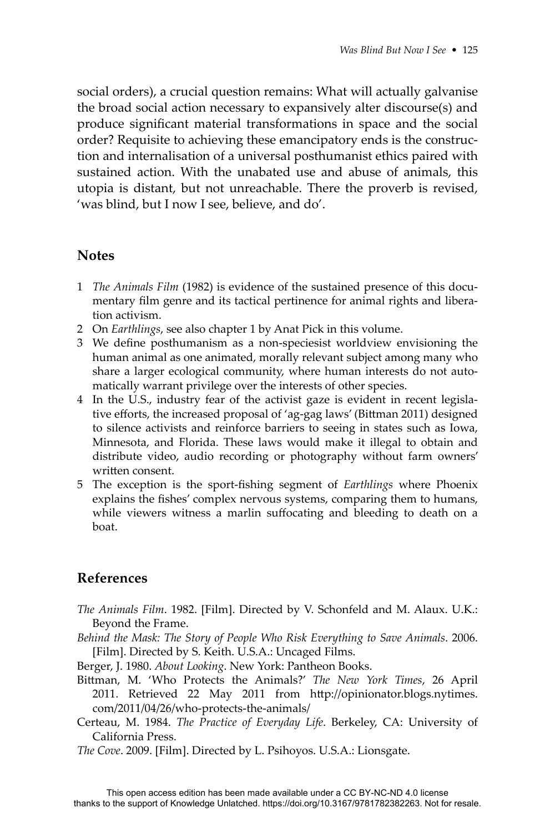social orders), a crucial question remains: What will actually galvanise the broad social action necessary to expansively alter discourse(s) and produce significant material transformations in space and the social order? Requisite to achieving these emancipatory ends is the construction and internalisation of a universal posthumanist ethics paired with sustained action. With the unabated use and abuse of animals, this utopia is distant, but not unreachable. There the proverb is revised, 'was blind, but I now I see, believe, and do'.

#### **Notes**

- 1 *The Animals Film* (1982) is evidence of the sustained presence of this documentary film genre and its tactical pertinence for animal rights and liberation activism.
- 2 On *Earthlings*, see also chapter 1 by Anat Pick in this volume.
- 3 We define posthumanism as a non-speciesist worldview envisioning the human animal as one animated, morally relevant subject among many who share a larger ecological community, where human interests do not automatically warrant privilege over the interests of other species.
- 4 In the U.S., industry fear of the activist gaze is evident in recent legislative efforts, the increased proposal of 'ag-gag laws' (Bittman 2011) designed to silence activists and reinforce barriers to seeing in states such as Iowa, Minnesota, and Florida. These laws would make it illegal to obtain and distribute video, audio recording or photography without farm owners' written consent.
- 5 The exception is the sport-fishing segment of *Earthlings* where Phoenix explains the fishes' complex nervous systems, comparing them to humans, while viewers witness a marlin suffocating and bleeding to death on a boat.

# **References**

- *The Animals Film*. 1982. [Film]. Directed by V. Schonfeld and M. Alaux. U.K.: Beyond the Frame.
- *Behind the Mask: The Story of People Who Risk Everything to Save Animals*. 2006. [Film]. Directed by S. Keith. U.S.A.: Uncaged Films.
- Berger, J. 1980. *About Looking*. New York: Pantheon Books.
- Bittman, M. 'Who Protects the Animals?' *The New York Times*, 26 April 2011. Retrieved 22 May 2011 from http://opinionator.blogs.nytimes. com/2011/04/26/who-protects-the-animals/
- Certeau, M. 1984. *The Practice of Everyday Life*. Berkeley, CA: University of California Press.
- *The Cove*. 2009. [Film]. Directed by L. Psihoyos. U.S.A.: Lionsgate.